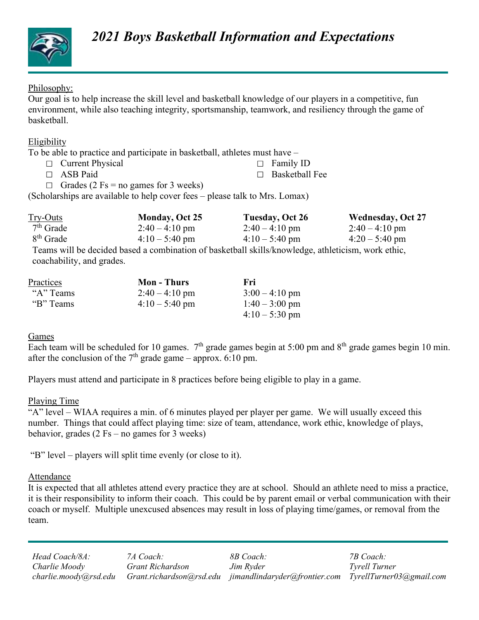

### Philosophy:

## Eligibility

- $\Box$  Current Physical  $\Box$  Family ID
- $\Box$  ASB Paid  $\Box$  Basketball Fee
- $\Box$  Grades (2 Fs = no games for 3 weeks)

|                            | <b>2021 Boys Basketball Information and Expectations</b>                                                                                                                                                                                                                                                                                                                                                                                            |                                 |                          |
|----------------------------|-----------------------------------------------------------------------------------------------------------------------------------------------------------------------------------------------------------------------------------------------------------------------------------------------------------------------------------------------------------------------------------------------------------------------------------------------------|---------------------------------|--------------------------|
| Philosophy:<br>basketball. | Our goal is to help increase the skill level and basketball knowledge of our players in a competitive, fun<br>environment, while also teaching integrity, sportsmanship, teamwork, and resiliency through the game of                                                                                                                                                                                                                               |                                 |                          |
| Eligibility                |                                                                                                                                                                                                                                                                                                                                                                                                                                                     |                                 |                          |
|                            | To be able to practice and participate in basketball, athletes must have -                                                                                                                                                                                                                                                                                                                                                                          |                                 |                          |
| $\Box$ Current Physical    |                                                                                                                                                                                                                                                                                                                                                                                                                                                     | Family ID                       |                          |
| $\Box$ ASB Paid            |                                                                                                                                                                                                                                                                                                                                                                                                                                                     | <b>Basketball Fee</b><br>$\Box$ |                          |
|                            | $\Box$ Grades (2 Fs = no games for 3 weeks)                                                                                                                                                                                                                                                                                                                                                                                                         |                                 |                          |
|                            | (Scholarships are available to help cover fees – please talk to Mrs. Lomax)                                                                                                                                                                                                                                                                                                                                                                         |                                 |                          |
| Try-Outs                   | Monday, Oct 25                                                                                                                                                                                                                                                                                                                                                                                                                                      | <b>Tuesday, Oct 26</b>          | <b>Wednesday, Oct 27</b> |
| $7th$ Grade                | $2:40 - 4:10$ pm                                                                                                                                                                                                                                                                                                                                                                                                                                    | $2:40 - 4:10$ pm                | $2:40 - 4:10$ pm         |
| 8 <sup>th</sup> Grade      | $4:10 - 5:40$ pm                                                                                                                                                                                                                                                                                                                                                                                                                                    | $4:10 - 5:40$ pm                | $4:20 - 5:40$ pm         |
|                            | Teams will be decided based a combination of basketball skills/knowledge, athleticism, work ethic,                                                                                                                                                                                                                                                                                                                                                  |                                 |                          |
| coachability, and grades.  |                                                                                                                                                                                                                                                                                                                                                                                                                                                     |                                 |                          |
| Practices                  | <b>Mon-Thurs</b>                                                                                                                                                                                                                                                                                                                                                                                                                                    | Fri                             |                          |
| "A" Teams                  | $2:40 - 4:10$ pm                                                                                                                                                                                                                                                                                                                                                                                                                                    | $3:00 - 4:10$ pm                |                          |
| "B" Teams                  | $4:10 - 5:40$ pm                                                                                                                                                                                                                                                                                                                                                                                                                                    | $1:40 - 3:00$ pm                |                          |
|                            |                                                                                                                                                                                                                                                                                                                                                                                                                                                     | $4:10 - 5:30$ pm                |                          |
| Games                      |                                                                                                                                                                                                                                                                                                                                                                                                                                                     |                                 |                          |
|                            |                                                                                                                                                                                                                                                                                                                                                                                                                                                     |                                 |                          |
|                            | Each team will be scheduled for 10 games. $7th$ grade games begin at 5:00 pm and $8th$ grade games begin 10 min.<br>$\alpha$ d $\beta$ d $\alpha$ d $\beta$ d $\beta$ d $\beta$ d $\beta$ d $\beta$ d $\beta$ d $\beta$ d $\beta$ d $\beta$ d $\beta$ d $\beta$ d $\beta$ d $\beta$ d $\beta$ d $\beta$ d $\beta$ d $\beta$ d $\beta$ d $\beta$ d $\beta$ d $\beta$ d $\beta$ d $\beta$ d $\beta$ d $\beta$ d $\beta$ d $\beta$ d $\beta$ d $\beta$ |                                 |                          |

| <b>Practices</b> | <b>Mon</b> - Thurs | Fri                    |  |
|------------------|--------------------|------------------------|--|
| "A" Teams        | $2:40 - 4:10$ pm   | $3:00 - 4:10$ pm       |  |
| "B" Teams        | $4:10-5:40$ pm     | $1:40 - 3:00$ pm       |  |
|                  |                    | $4:10-5:30 \text{ pm}$ |  |

### Games **Games**

Each team will be scheduled for 10 games.  $7<sup>th</sup>$  grade games begin at 5:00 pm and  $8<sup>th</sup>$  grade games begin 10 min. after the conclusion of the  $7<sup>th</sup>$  grade game – approx. 6:10 pm.

Players must attend and participate in 8 practices before being eligible to play in a game.

### Playing Time

"A" level – WIAA requires a min. of 6 minutes played per player per game. We will usually exceed this number. Things that could affect playing time: size of team, attendance, work ethic, knowledge of plays, behavior, grades  $(2 \text{Fs} - \text{no games for } 3 \text{ weeks})$ Constraints of the measure of the measure of the measure of the space of the space of the measurement of the space of the space of the space of the space of the space of the space of the space of the space of the space of

### Attendance

10 pm.<br>
110 pm.<br>
11 pm.<br>
12 pm.<br>
12 pm.<br>
13 pm.<br>
13 pm.<br>
13 pm.<br>
13 pm.<br>
13 pm.<br>
14 pm.<br>
14 pm.<br>
14 pm.<br>
14 pm.<br>
14 pm.<br>
14 pm.<br>
14 cm.<br>
14 cm.<br>
14 cm.<br>
14 pm.<br>
14 pm.<br>
14 pm.<br>
14 pm.<br>
14 pm.<br>
14 pm.<br>
14 pm.<br>
14 pm.<br>
14 pm It is expected that all athletes attend every practice they are at school. Should an athlete need to miss a practice, it is their responsibility to inform their coach. This could be by parent email or verbal communication with their coach or myself. Multiple unexcused absences may result in loss of playing time/games, or removal from the team.

Head Coach/8A: Charlie Moody Grant Richardson charlie.moody@rsd.edu Grant.richardson@rsd.edu jimandlindaryder@frontier.com TyrellTurner03@gmail.com 7A Coach: Jim Ryder 7B Coach: Tyrell Turner